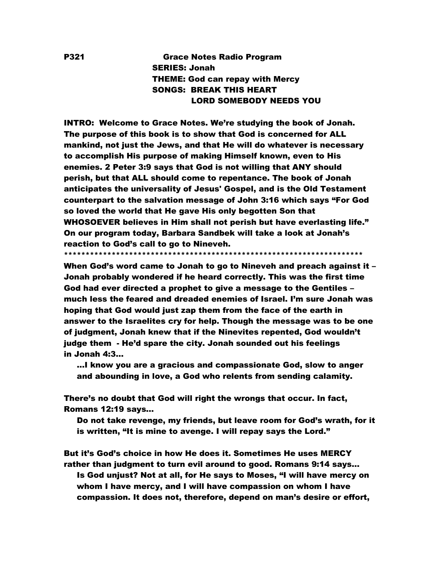# P321 Grace Notes Radio Program SERIES: Jonah THEME: God can repay with Mercy SONGS: BREAK THIS HEART LORD SOMEBODY NEEDS YOU

INTRO: Welcome to Grace Notes. We're studying the book of Jonah. The purpose of this book is to show that God is concerned for ALL mankind, not just the Jews, and that He will do whatever is necessary to accomplish His purpose of making Himself known, even to His enemies. 2 Peter 3:9 says that God is not willing that ANY should perish, but that ALL should come to repentance. The book of Jonah anticipates the universality of Jesus' Gospel, and is the Old Testament counterpart to the salvation message of John 3:16 which says "For God so loved the world that He gave His only begotten Son that WHOSOEVER believes in Him shall not perish but have everlasting life." On our program today, Barbara Sandbek will take a look at Jonah's reaction to God's call to go to Nineveh.

\*\*\*\*\*\*\*\*\*\*\*\*\*\*\*\*\*\*\*\*\*\*\*\*\*\*\*\*\*\*\*\*\*\*\*\*\*\*\*\*\*\*\*\*\*\*\*\*\*\*\*\*\*\*\*\*\*\*\*\*\*\*\*\*\*\*\*\*\*

When God's word came to Jonah to go to Nineveh and preach against it – Jonah probably wondered if he heard correctly. This was the first time God had ever directed a prophet to give a message to the Gentiles – much less the feared and dreaded enemies of Israel. I'm sure Jonah was hoping that God would just zap them from the face of the earth in answer to the Israelites cry for help. Though the message was to be one of judgment, Jonah knew that if the Ninevites repented, God wouldn't judge them - He'd spare the city. Jonah sounded out his feelings in Jonah 4:3…

 …I know you are a gracious and compassionate God, slow to anger and abounding in love, a God who relents from sending calamity.

There's no doubt that God will right the wrongs that occur. In fact, Romans 12:19 says…

 Do not take revenge, my friends, but leave room for God's wrath, for it is written, "It is mine to avenge. I will repay says the Lord."

But it's God's choice in how He does it. Sometimes He uses MERCY rather than judgment to turn evil around to good. Romans 9:14 says… Is God unjust? Not at all, for He says to Moses, "I will have mercy on whom I have mercy, and I will have compassion on whom I have compassion. It does not, therefore, depend on man's desire or effort,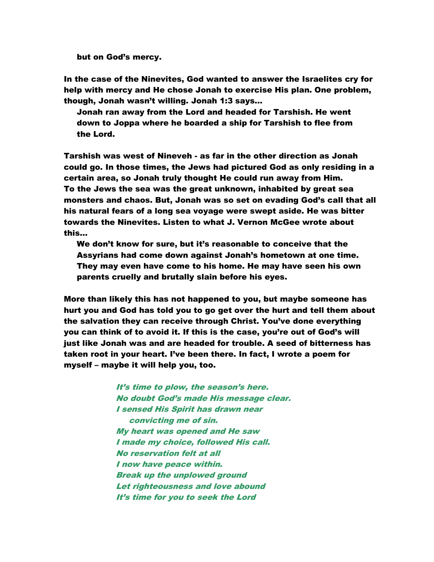but on God's mercy.

In the case of the Ninevites, God wanted to answer the Israelites cry for help with mercy and He chose Jonah to exercise His plan. One problem, though, Jonah wasn't willing. Jonah 1:3 says…

 Jonah ran away from the Lord and headed for Tarshish. He went down to Joppa where he boarded a ship for Tarshish to flee from the Lord.

Tarshish was west of Nineveh - as far in the other direction as Jonah could go. In those times, the Jews had pictured God as only residing in a certain area, so Jonah truly thought He could run away from Him. To the Jews the sea was the great unknown, inhabited by great sea monsters and chaos. But, Jonah was so set on evading God's call that all his natural fears of a long sea voyage were swept aside. He was bitter towards the Ninevites. Listen to what J. Vernon McGee wrote about this…

 We don't know for sure, but it's reasonable to conceive that the Assyrians had come down against Jonah's hometown at one time. They may even have come to his home. He may have seen his own parents cruelly and brutally slain before his eyes.

More than likely this has not happened to you, but maybe someone has hurt you and God has told you to go get over the hurt and tell them about the salvation they can receive through Christ. You've done everything you can think of to avoid it. If this is the case, you're out of God's will just like Jonah was and are headed for trouble. A seed of bitterness has taken root in your heart. I've been there. In fact, I wrote a poem for myself – maybe it will help you, too.

> It's time to plow, the season's here. No doubt God's made His message clear. I sensed His Spirit has drawn near convicting me of sin. My heart was opened and He saw I made my choice, followed His call. No reservation felt at all I now have peace within. Break up the unplowed ground Let righteousness and love abound It's time for you to seek the Lord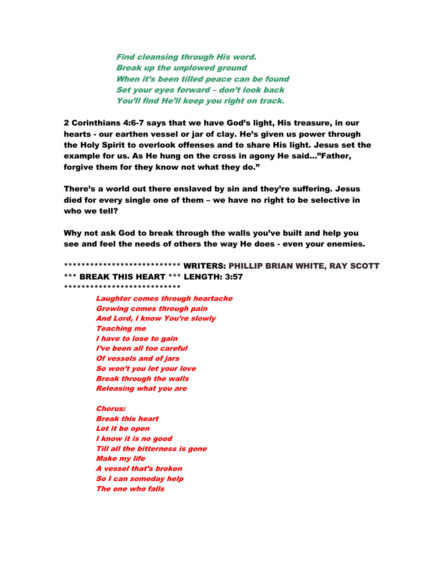Find cleansing through His word. Break up the unplowed ground When it's been tilled peace can be found Set your eyes forward – don't look back You'll find He'll keep you right on track.

2 Corinthians 4:6-7 says that we have God's light, His treasure, in our hearts - our earthen vessel or jar of clay. He's given us power through the Holy Spirit to overlook offenses and to share His light. Jesus set the example for us. As He hung on the cross in agony He said…"Father, forgive them for they know not what they do."

There's a world out there enslaved by sin and they're suffering. Jesus died for every single one of them – we have no right to be selective in who we tell?

Why not ask God to break through the walls you've built and help you see and feel the needs of others the way He does - even your enemies.

\*\*\*\*\*\*\*\*\*\*\*\*\*\*\*\*\*\*\*\*\*\*\*\*\*\*\* WRITERS: PHILLIP BRIAN WHITE, RAY SCOTT \*\*\* BREAK THIS HEART \*\*\* LENGTH: 3:57 \*\*\*\*\*\*\*\*\*\*\*\*\*\*\*\*\*\*\*\*\*\*\*\*\*\*\*

Laughter comes through heartache Growing comes through pain And Lord, I know You're slowly Teaching me I have to lose to gain I've been all too careful Of vessels and of jars So won't you let your lov<sup>e</sup> Break through the walls Releasing what you are

Chorus: Break this heart Let it be open I know it is no good Till all the bitterness is gone Make my life A vessel that's broken So I can someday help The one who falls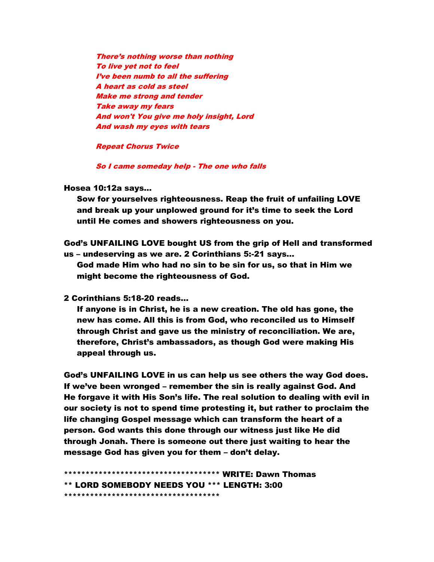There's nothing worse than nothing To live yet not to feel I've been numb to all the suffering A heart as cold as steel Make me strong and tender Take away my fears And won't You give me holy insight, Lord And wash my eyes with tears

Repeat Chorus Twice

So I came someday help - The one who falls

Hosea 10:12a says…

 Sow for yourselves righteousness. Reap the fruit of unfailing LOVE and break up your unplowed ground for it's time to seek the Lord until He comes and showers righteousness on you.

God's UNFAILING LOVE bought US from the grip of Hell and transformed us – undeserving as we are. 2 Corinthians 5:-21 says…

 God made Him who had no sin to be sin for us, so that in Him we might become the righteousness of God.

2 Corinthians 5:18-20 reads…

 If anyone is in Christ, he is a new creation. The old has gone, the new has come. All this is from God, who reconciled us to Himself through Christ and gave us the ministry of reconciliation. We are, therefore, Christ's ambassadors, as though God were making His appeal through us.

God's UNFAILING LOVE in us can help us see others the way God does. If we've been wronged – remember the sin is really against God. And He forgave it with His Son's life. The real solution to dealing with evil in our society is not to spend time protesting it, but rather to proclaim the life changing Gospel message which can transform the heart of a person. God wants this done through our witness just like He did through Jonah. There is someone out there just waiting to hear the message God has given you for them – don't delay.

\*\*\*\*\*\*\*\*\*\*\*\*\*\*\*\*\*\*\*\*\*\*\*\*\*\*\*\*\*\*\*\*\*\*\*\* WRITE: Dawn Thomas \*\* LORD SOMEBODY NEEDS YOU \*\*\* LENGTH: 3:00 \*\*\*\*\*\*\*\*\*\*\*\*\*\*\*\*\*\*\*\*\*\*\*\*\*\*\*\*\*\*\*\*\*\*\*\*